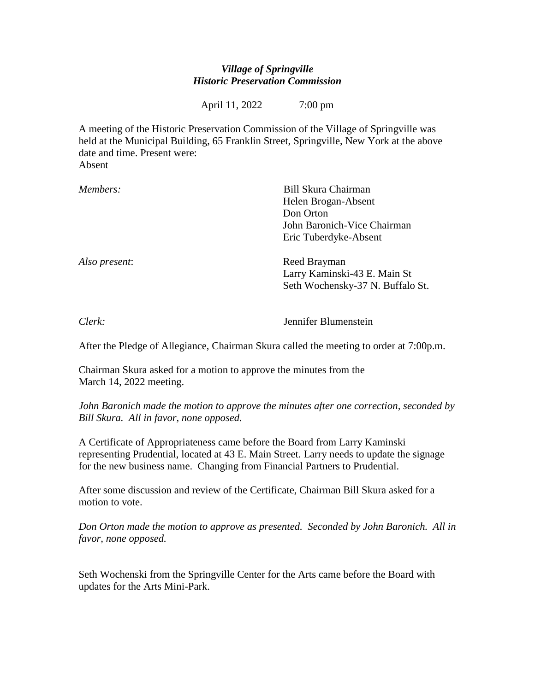## *Village of Springville Historic Preservation Commission*

April 11, 2022 7:00 pm

A meeting of the Historic Preservation Commission of the Village of Springville was held at the Municipal Building, 65 Franklin Street, Springville, New York at the above date and time. Present were: Absent

| Members:      | Bill Skura Chairman              |
|---------------|----------------------------------|
|               | Helen Brogan-Absent              |
|               | Don Orton                        |
|               | John Baronich-Vice Chairman      |
|               | Eric Tuberdyke-Absent            |
| Also present: | Reed Brayman                     |
|               | Larry Kaminski-43 E. Main St     |
|               | Seth Wochensky-37 N. Buffalo St. |
|               |                                  |

*Clerk:* Jennifer Blumenstein

After the Pledge of Allegiance, Chairman Skura called the meeting to order at 7:00p.m.

Chairman Skura asked for a motion to approve the minutes from the March 14, 2022 meeting.

*John Baronich made the motion to approve the minutes after one correction, seconded by Bill Skura. All in favor, none opposed.*

A Certificate of Appropriateness came before the Board from Larry Kaminski representing Prudential, located at 43 E. Main Street. Larry needs to update the signage for the new business name. Changing from Financial Partners to Prudential.

After some discussion and review of the Certificate, Chairman Bill Skura asked for a motion to vote.

*Don Orton made the motion to approve as presented. Seconded by John Baronich. All in favor, none opposed.*

Seth Wochenski from the Springville Center for the Arts came before the Board with updates for the Arts Mini-Park.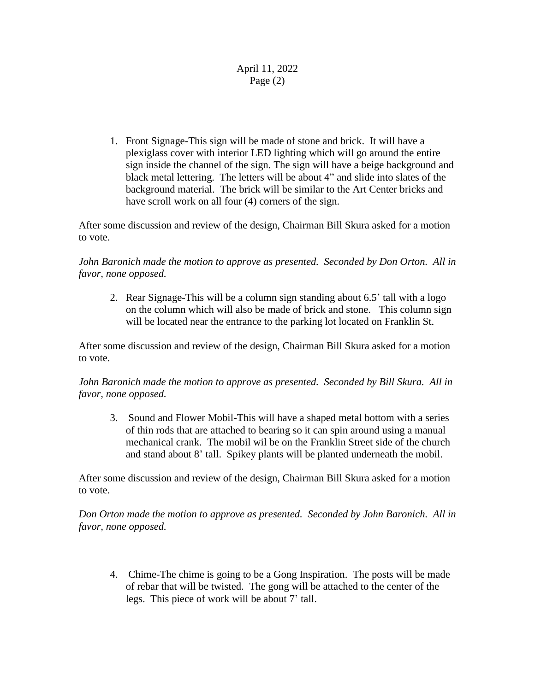## April 11, 2022 Page (2)

1. Front Signage-This sign will be made of stone and brick. It will have a plexiglass cover with interior LED lighting which will go around the entire sign inside the channel of the sign. The sign will have a beige background and black metal lettering. The letters will be about 4" and slide into slates of the background material. The brick will be similar to the Art Center bricks and have scroll work on all four (4) corners of the sign.

After some discussion and review of the design, Chairman Bill Skura asked for a motion to vote.

*John Baronich made the motion to approve as presented. Seconded by Don Orton. All in favor, none opposed.*

2. Rear Signage-This will be a column sign standing about 6.5' tall with a logo on the column which will also be made of brick and stone. This column sign will be located near the entrance to the parking lot located on Franklin St.

After some discussion and review of the design, Chairman Bill Skura asked for a motion to vote.

*John Baronich made the motion to approve as presented. Seconded by Bill Skura. All in favor, none opposed.*

3. Sound and Flower Mobil-This will have a shaped metal bottom with a series of thin rods that are attached to bearing so it can spin around using a manual mechanical crank. The mobil wil be on the Franklin Street side of the church and stand about 8' tall. Spikey plants will be planted underneath the mobil.

After some discussion and review of the design, Chairman Bill Skura asked for a motion to vote.

*Don Orton made the motion to approve as presented. Seconded by John Baronich. All in favor, none opposed.*

4. Chime-The chime is going to be a Gong Inspiration. The posts will be made of rebar that will be twisted. The gong will be attached to the center of the legs. This piece of work will be about 7' tall.